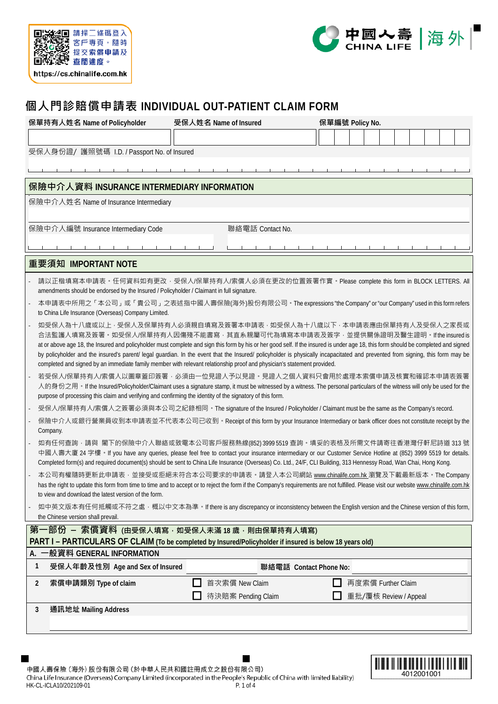



## **個人門診賠償申請表 INDIVIDUAL OUT-PATIENT CLAIM FORM**

| 保單持有人姓名 Name of Policyholder                                                                                                                                                                                                                                                                                                                                                                                                                                                                                                                                                                                                                                 | 受保人姓名 Name of Insured | 保單編號 Policy No.        |                       |  |
|--------------------------------------------------------------------------------------------------------------------------------------------------------------------------------------------------------------------------------------------------------------------------------------------------------------------------------------------------------------------------------------------------------------------------------------------------------------------------------------------------------------------------------------------------------------------------------------------------------------------------------------------------------------|-----------------------|------------------------|-----------------------|--|
|                                                                                                                                                                                                                                                                                                                                                                                                                                                                                                                                                                                                                                                              |                       |                        |                       |  |
| 受保人身份證/ 護照號碼 I.D. / Passport No. of Insured                                                                                                                                                                                                                                                                                                                                                                                                                                                                                                                                                                                                                  |                       |                        |                       |  |
|                                                                                                                                                                                                                                                                                                                                                                                                                                                                                                                                                                                                                                                              |                       |                        |                       |  |
|                                                                                                                                                                                                                                                                                                                                                                                                                                                                                                                                                                                                                                                              |                       |                        |                       |  |
| 保險中介人資料 INSURANCE INTERMEDIARY INFORMATION                                                                                                                                                                                                                                                                                                                                                                                                                                                                                                                                                                                                                   |                       |                        |                       |  |
| 保險中介人姓名 Name of Insurance Intermediary                                                                                                                                                                                                                                                                                                                                                                                                                                                                                                                                                                                                                       |                       |                        |                       |  |
|                                                                                                                                                                                                                                                                                                                                                                                                                                                                                                                                                                                                                                                              |                       |                        |                       |  |
| 保險中介人編號 Insurance Intermediary Code                                                                                                                                                                                                                                                                                                                                                                                                                                                                                                                                                                                                                          | 聯絡電話 Contact No.      |                        |                       |  |
|                                                                                                                                                                                                                                                                                                                                                                                                                                                                                                                                                                                                                                                              |                       |                        |                       |  |
| 重要須知 IMPORTANT NOTE                                                                                                                                                                                                                                                                                                                                                                                                                                                                                                                                                                                                                                          |                       |                        |                       |  |
| 請以正楷填寫本申請表。任何資料如有更改‧受保人/保單持有人/索償人必須在更改的位置簽署作實。Please complete this form in BLOCK LETTERS. All<br>amendments should be endorsed by the Insured / Policyholder / Claimant in full signature.                                                                                                                                                                                                                                                                                                                                                                                                                                                                   |                       |                        |                       |  |
| 本申請表中所用之「本公司」或「貴公司」之表述指中國人壽保險(海外)股份有限公司。The expressions "the Company" or "our Company" used in this form refers<br>to China Life Insurance (Overseas) Company Limited.                                                                                                                                                                                                                                                                                                                                                                                                                                                                                       |                       |                        |                       |  |
| 如受保人為十八歲或以上 · 受保人及保單持有人必須親自填寫及簽署本申請表 · 如受保人為十八歲以下 · 本申請表應由保單持有人及受保人之家長或<br>合法監護人填寫及簽署。如受保人/保單持有人因傷殘不能書寫,其直系親屬可代為填寫本申請表及簽字,並提供關係證明及醫生證明。If the insured is<br>at or above age 18, the Insured and policyholder must complete and sign this form by his or her good self. If the insured is under age 18, this form should be completed and signed<br>by policyholder and the insured's parent/ legal guardian. In the event that the Insured/ policyholder is physically incapacitated and prevented from signing, this form may be<br>completed and signed by an immediate family member with relevant relationship proof and physician's statement provided. |                       |                        |                       |  |
| 若受保人/保單持有人/索償人以圖章蓋印簽署 · 必須由一位見證人予以見證 · 見證人之個人資料只會用於處理本索償申請及核實和確認本申請表簽署<br>人的身份之用。If the Insured/Policyholder/Claimant uses a signature stamp, it must be witnessed by a witness. The personal particulars of the witness will only be used for the<br>purpose of processing this claim and verifying and confirming the identity of the signatory of this form.                                                                                                                                                                                                                                                                                              |                       |                        |                       |  |
| 受保人/保單持有人/索償人之簽署必須與本公司之紀錄相同。The signature of the Insured / Policyholder / Claimant must be the same as the Company's record.                                                                                                                                                                                                                                                                                                                                                                                                                                                                                                                                 |                       |                        |                       |  |
| 保險中介人或銀行營業員收到本申請表並不代表本公司已收到。Receipt of this form by your Insurance Intermediary or bank officer does not constitute receipt by the<br>Company.                                                                                                                                                                                                                                                                                                                                                                                                                                                                                                               |                       |                        |                       |  |
| 如有任何查詢·請與 閣下的保險中介人聯絡或致電本公司客戶服務熱線(852) 3999 5519 查詢·填妥的表格及所需文件請寄往香港灣仔軒尼詩道 313 號<br>中國人壽大廈 24 字樓 • If you have any queries, please feel free to contact your insurance intermediary or our Customer Service Hotline at (852) 3999 5519 for details.<br>Completed form(s) and required document(s) should be sent to China Life Insurance (Overseas) Co. Ltd., 24/F, CLI Building, 313 Hennessy Road, Wan Chai, Hong Kong.                                                                                                                                                                                                                                      |                       |                        |                       |  |
| 本公司有權隨時更新此申請表,並接受或拒絕未符合本公司要求的申請表。請登入本公司網站 www.chinalife.com.hk 瀏覽及下載最新版本。The Company<br>has the right to update this form from time to time and to accept or to reject the form if the Company's requirements are not fulfilled. Please visit our website www.chinalife.com.hk<br>to view and download the latest version of the form.                                                                                                                                                                                                                                                                                                                       |                       |                        |                       |  |
| 如中英文版本有任何抵觸或不符之處, 概以中文本為準。If there is any discrepancy or inconsistency between the English version and the Chinese version of this form,<br>the Chinese version shall prevail.                                                                                                                                                                                                                                                                                                                                                                                                                                                                               |                       |                        |                       |  |
| 第一部份 – 索償資料 (由受保人填寫,如受保人未滿 18 歲,則由保單持有人填寫)<br>PART I - PARTICULARS OF CLAIM (To be completed by Insured/Policyholder if insured is below 18 years old)                                                                                                                                                                                                                                                                                                                                                                                                                                                                                                       |                       |                        |                       |  |
| A. 一般資料 GENERAL INFORMATION                                                                                                                                                                                                                                                                                                                                                                                                                                                                                                                                                                                                                                  |                       |                        |                       |  |
| 1<br>受保人年齡及性別 Age and Sex of Insured                                                                                                                                                                                                                                                                                                                                                                                                                                                                                                                                                                                                                         |                       | 聯絡電話 Contact Phone No: |                       |  |
| 索償申請類別 Type of claim<br>2                                                                                                                                                                                                                                                                                                                                                                                                                                                                                                                                                                                                                                    | 首次索償 New Claim        |                        | 再度索償 Further Claim    |  |
|                                                                                                                                                                                                                                                                                                                                                                                                                                                                                                                                                                                                                                                              | 待決賠案 Pending Claim    |                        | 重批/覆核 Review / Appeal |  |
| 通訊地址 Mailing Address<br>3                                                                                                                                                                                                                                                                                                                                                                                                                                                                                                                                                                                                                                    |                       |                        |                       |  |
|                                                                                                                                                                                                                                                                                                                                                                                                                                                                                                                                                                                                                                                              |                       |                        |                       |  |
|                                                                                                                                                                                                                                                                                                                                                                                                                                                                                                                                                                                                                                                              |                       |                        |                       |  |

中國人壽保險 (海外) 股份有限公司 (於中華人民共和國註冊成立之股份有限公司) China Life Insurance (Overseas) Company Limited (incorporated in the People's Republic of China with limited liability) HK-CL-ICLA10/202109-01 P. 1 of 4

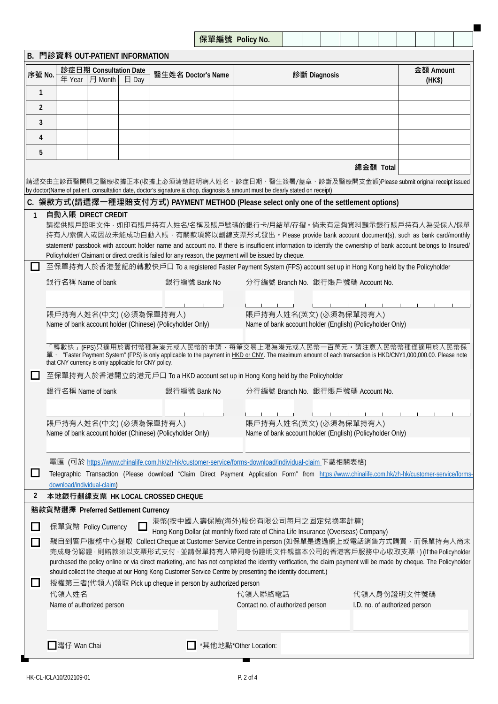| the state of the con-<br>$\cdot$ .<br>IVV. |  |  |  |  |  |
|--------------------------------------------|--|--|--|--|--|
|                                            |  |  |  |  |  |
|                                            |  |  |  |  |  |

|                            | B. 門診資料 OUT-PATIENT INFORMATION                            |         |                 |                                                                                                         |                                                                                                                                                                                                                                                                                                                                                                                                                                                                                                                                                                                                                                             |                                              |        |  |  |  |  |
|----------------------------|------------------------------------------------------------|---------|-----------------|---------------------------------------------------------------------------------------------------------|---------------------------------------------------------------------------------------------------------------------------------------------------------------------------------------------------------------------------------------------------------------------------------------------------------------------------------------------------------------------------------------------------------------------------------------------------------------------------------------------------------------------------------------------------------------------------------------------------------------------------------------------|----------------------------------------------|--------|--|--|--|--|
|                            | 診症日期 Consultation Date                                     |         |                 |                                                                                                         | 金額 Amount                                                                                                                                                                                                                                                                                                                                                                                                                                                                                                                                                                                                                                   |                                              |        |  |  |  |  |
| 序號 No.                     | 年 Year                                                     | 月 Month | $\boxminus$ Day | 醫生姓名 Doctor's Name                                                                                      | 診斷 Diagnosis                                                                                                                                                                                                                                                                                                                                                                                                                                                                                                                                                                                                                                |                                              | (HK\$) |  |  |  |  |
| $\mathbf{1}$               |                                                            |         |                 |                                                                                                         |                                                                                                                                                                                                                                                                                                                                                                                                                                                                                                                                                                                                                                             |                                              |        |  |  |  |  |
| $\overline{2}$             |                                                            |         |                 |                                                                                                         |                                                                                                                                                                                                                                                                                                                                                                                                                                                                                                                                                                                                                                             |                                              |        |  |  |  |  |
|                            |                                                            |         |                 |                                                                                                         |                                                                                                                                                                                                                                                                                                                                                                                                                                                                                                                                                                                                                                             |                                              |        |  |  |  |  |
| 3                          |                                                            |         |                 |                                                                                                         |                                                                                                                                                                                                                                                                                                                                                                                                                                                                                                                                                                                                                                             |                                              |        |  |  |  |  |
| 4                          |                                                            |         |                 |                                                                                                         |                                                                                                                                                                                                                                                                                                                                                                                                                                                                                                                                                                                                                                             |                                              |        |  |  |  |  |
| 5                          |                                                            |         |                 |                                                                                                         |                                                                                                                                                                                                                                                                                                                                                                                                                                                                                                                                                                                                                                             |                                              |        |  |  |  |  |
|                            |                                                            |         |                 |                                                                                                         |                                                                                                                                                                                                                                                                                                                                                                                                                                                                                                                                                                                                                                             | 總金額 Total                                    |        |  |  |  |  |
|                            |                                                            |         |                 |                                                                                                         | 請遞交由主診西醫開具之醫療收據正本(收據上必須清楚註明病人姓名、診症日期、醫生簽署/蓋章、診斷及醫療開支金額)Please submit original receipt issued<br>by doctor(Name of patient, consultation date, doctor's signature & chop, diagnosis & amount must be clearly stated on receipt)                                                                                                                                                                                                                                                                                                                                                                                                              |                                              |        |  |  |  |  |
|                            |                                                            |         |                 |                                                                                                         | C. 領款方式(請選擇一種理賠支付方式) PAYMENT METHOD (Please select only one of the settlement options)                                                                                                                                                                                                                                                                                                                                                                                                                                                                                                                                                      |                                              |        |  |  |  |  |
| $\mathbf{1}$               | 自動入賬 DIRECT CREDIT                                         |         |                 | Policyholder/ Claimant or direct credit is failed for any reason, the payment will be issued by cheque. | 請提供賬戶證明文件 · 如印有賬戶持有人姓名/名稱及賬戶號碼的銀行卡/月結單/存摺 · 倘未有足夠資料顯示銀行賬戶持有人為受保人/保單<br>持有人/索償人或因故未能成功自動入賬,有關款項將以劃線支票形式發出。Please provide bank account document(s), such as bank card/monthly<br>statement/ passbook with account holder name and account no. If there is insufficient information to identify the ownership of bank account belongs to Insured/                                                                                                                                                                                                                                                                                              |                                              |        |  |  |  |  |
| $\overline{\phantom{a}}$   |                                                            |         |                 |                                                                                                         | 至保單持有人於香港登記的轉數快戶口 To a registered Faster Payment System (FPS) account set up in Hong Kong held by the Policyholder                                                                                                                                                                                                                                                                                                                                                                                                                                                                                                                          |                                              |        |  |  |  |  |
|                            | 銀行名稱 Name of bank                                          |         |                 | 銀行編號 Bank No                                                                                            | 分行編號 Branch No. 銀行賬戶號碼 Account No.                                                                                                                                                                                                                                                                                                                                                                                                                                                                                                                                                                                                          |                                              |        |  |  |  |  |
|                            | 賬戶持有人姓名(中文) (必須為保單持有人)                                     |         |                 | Name of bank account holder (Chinese) (Policyholder Only)                                               | 賬戶持有人姓名(英文) (必須為保單持有人)<br>Name of bank account holder (English) (Policyholder Only)                                                                                                                                                                                                                                                                                                                                                                                                                                                                                                                                                         |                                              |        |  |  |  |  |
|                            | that CNY currency is only applicable for CNY policy.       |         |                 |                                                                                                         | 「轉數快」(FPS)只適用於實付幣種為港元或人民幣的申請 · 每筆交易上限為港元或人民幣一百萬元 · 請注意人民幣幣種僅適用於人民幣保<br>單 · "Faster Payment System" (FPS) is only applicable to the payment in HKD or CNY. The maximum amount of each transaction is HKD/CNY1,000,000.00. Please note                                                                                                                                                                                                                                                                                                                                                                                                        |                                              |        |  |  |  |  |
| ப                          |                                                            |         |                 |                                                                                                         | 至保單持有人於香港開立的港元戶口 To a HKD account set up in Hong Kong held by the Policyholder                                                                                                                                                                                                                                                                                                                                                                                                                                                                                                                                                              |                                              |        |  |  |  |  |
|                            | 銀行名稱 Name of bank                                          |         |                 | 銀行編號 Bank No                                                                                            | 分行編號 Branch No. 銀行賬戶號碼 Account No.                                                                                                                                                                                                                                                                                                                                                                                                                                                                                                                                                                                                          |                                              |        |  |  |  |  |
|                            | 賬戶持有人姓名(中文) (必須為保單持有人)                                     |         |                 | Name of bank account holder (Chinese) (Policyholder Only)                                               | 賬戶持有人姓名(英文) (必須為保單持有人)<br>Name of bank account holder (English) (Policyholder Only)                                                                                                                                                                                                                                                                                                                                                                                                                                                                                                                                                         |                                              |        |  |  |  |  |
|                            |                                                            |         |                 |                                                                                                         | 電匯 (可於 https://www.chinalife.com.hk/zh-hk/customer-service/forms-download/individual-claim 下載相關表格)                                                                                                                                                                                                                                                                                                                                                                                                                                                                                                                                          |                                              |        |  |  |  |  |
| ப                          | download/individual-claim)                                 |         |                 |                                                                                                         | Telegraphic Transaction (Please download "Claim Direct Payment Application Form" from https://www.chinalife.com.hk/zh-hk/customer-service/forms-                                                                                                                                                                                                                                                                                                                                                                                                                                                                                            |                                              |        |  |  |  |  |
| 2                          |                                                            |         |                 | 本地銀行劃線支票 HK LOCAL CROSSED CHEQUE                                                                        |                                                                                                                                                                                                                                                                                                                                                                                                                                                                                                                                                                                                                                             |                                              |        |  |  |  |  |
|                            | 賠款貨幣選擇 Preferred Settlement Currency                       |         |                 |                                                                                                         |                                                                                                                                                                                                                                                                                                                                                                                                                                                                                                                                                                                                                                             |                                              |        |  |  |  |  |
| $\Box$<br>$\Box$<br>$\Box$ | 保單貨幣 Policy Currency<br>代領人姓名<br>Name of authorized person |         |                 | 授權第三者(代領人)領取 Pick up cheque in person by authorized person                                              | 港幣(按中國人壽保險(海外)股份有限公司每月之固定兌換率計算)<br>Hong Kong Dollar (at monthly fixed rate of China Life Insurance (Overseas) Company)<br>親自到客戶服務中心提取 Collect Cheque at Customer Service Centre in person (如保單是透過網上或電話銷售方式購買 · 而保單持有人尚未<br>完成身份認證 · 則賠款須以支票形式支付 · 並請保單持有人帶同身份證明文件親臨本公司的香港客戶服務中心收取支票 · ) (If the Policyholder<br>purchased the policy online or via direct marketing, and has not completed the identity verification, the claim payment will be made by cheque. The Policyholder<br>should collect the cheque at our Hong Kong Customer Service Centre by presenting the identity document.)<br>代領人聯絡電話<br>Contact no. of authorized person | 代領人身份證明文件號碼<br>I.D. no. of authorized person |        |  |  |  |  |
|                            | ■灣仔 Wan Chai                                               |         |                 |                                                                                                         | *其他地點*Other Location:                                                                                                                                                                                                                                                                                                                                                                                                                                                                                                                                                                                                                       |                                              |        |  |  |  |  |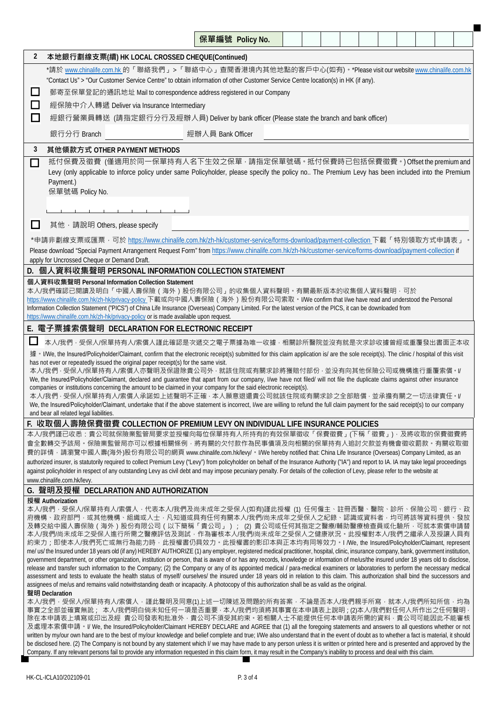|                |                                                                                                                                                                                                                                                                                                                                                                                                                                                                                                                                                                                                                                                                                                                                                                                                                                                                                                                                                                                                                                                                                                                                                                                                                                                                                                                                                                            | 保單編號 Policy No. |  |  |  |  |  |  |  |  |  |  |  |
|----------------|----------------------------------------------------------------------------------------------------------------------------------------------------------------------------------------------------------------------------------------------------------------------------------------------------------------------------------------------------------------------------------------------------------------------------------------------------------------------------------------------------------------------------------------------------------------------------------------------------------------------------------------------------------------------------------------------------------------------------------------------------------------------------------------------------------------------------------------------------------------------------------------------------------------------------------------------------------------------------------------------------------------------------------------------------------------------------------------------------------------------------------------------------------------------------------------------------------------------------------------------------------------------------------------------------------------------------------------------------------------------------|-----------------|--|--|--|--|--|--|--|--|--|--|--|
| $\overline{2}$ | 本地銀行劃線支票(續) HK LOCAL CROSSED CHEQUE(Continued)                                                                                                                                                                                                                                                                                                                                                                                                                                                                                                                                                                                                                                                                                                                                                                                                                                                                                                                                                                                                                                                                                                                                                                                                                                                                                                                             |                 |  |  |  |  |  |  |  |  |  |  |  |
|                | *請於 <u>www.chinalife.com.hk</u> 的「聯絡我們」>「聯絡中心」查閱香港境內其他地點的客戶中心(如有)。*Please visit our website <u>www.chinalife.com.hk</u>                                                                                                                                                                                                                                                                                                                                                                                                                                                                                                                                                                                                                                                                                                                                                                                                                                                                                                                                                                                                                                                                                                                                                                                                                                                    |                 |  |  |  |  |  |  |  |  |  |  |  |
|                | "Contact Us" > "Our Customer Service Centre" to obtain information of other Customer Service Centre location(s) in HK (if any).                                                                                                                                                                                                                                                                                                                                                                                                                                                                                                                                                                                                                                                                                                                                                                                                                                                                                                                                                                                                                                                                                                                                                                                                                                            |                 |  |  |  |  |  |  |  |  |  |  |  |
| $\Box$         | 郵寄至保單登記的通訊地址 Mail to correspondence address registered in our Company                                                                                                                                                                                                                                                                                                                                                                                                                                                                                                                                                                                                                                                                                                                                                                                                                                                                                                                                                                                                                                                                                                                                                                                                                                                                                                      |                 |  |  |  |  |  |  |  |  |  |  |  |
| □<br>$\Box$    | 經保險中介人轉遞 Deliver via Insurance Intermediary                                                                                                                                                                                                                                                                                                                                                                                                                                                                                                                                                                                                                                                                                                                                                                                                                                                                                                                                                                                                                                                                                                                                                                                                                                                                                                                                |                 |  |  |  |  |  |  |  |  |  |  |  |
|                | 經銀行營業員轉送 (請指定銀行分行及經辦人員) Deliver by bank officer (Please state the branch and bank officer)                                                                                                                                                                                                                                                                                                                                                                                                                                                                                                                                                                                                                                                                                                                                                                                                                                                                                                                                                                                                                                                                                                                                                                                                                                                                                 |                 |  |  |  |  |  |  |  |  |  |  |  |
|                | 經辦人員 Bank Officer<br>銀行分行 Branch                                                                                                                                                                                                                                                                                                                                                                                                                                                                                                                                                                                                                                                                                                                                                                                                                                                                                                                                                                                                                                                                                                                                                                                                                                                                                                                                           |                 |  |  |  |  |  |  |  |  |  |  |  |
| 3              | 其他領款方式 OTHER PAYMENT METHODS                                                                                                                                                                                                                                                                                                                                                                                                                                                                                                                                                                                                                                                                                                                                                                                                                                                                                                                                                                                                                                                                                                                                                                                                                                                                                                                                               |                 |  |  |  |  |  |  |  |  |  |  |  |
|                | 抵付保費及徵費 (僅適用於同一保單持有人名下生效之保單 · 請指定保單號碼 · 抵付保費時已包括保費徵費 · ) Offset the premium and<br>П<br>Levy (only applicable to inforce policy under same Policyholder, please specify the policy no The Premium Levy has been included into the Premium<br>Payment.)<br>保單號碼 Policy No.                                                                                                                                                                                                                                                                                                                                                                                                                                                                                                                                                                                                                                                                                                                                                                                                                                                                                                                                                                                                                                                                                                  |                 |  |  |  |  |  |  |  |  |  |  |  |
|                | the contract of the contract of the contract of                                                                                                                                                                                                                                                                                                                                                                                                                                                                                                                                                                                                                                                                                                                                                                                                                                                                                                                                                                                                                                                                                                                                                                                                                                                                                                                            |                 |  |  |  |  |  |  |  |  |  |  |  |
| $\Box$         | 其他, 請說明 Others, please specify                                                                                                                                                                                                                                                                                                                                                                                                                                                                                                                                                                                                                                                                                                                                                                                                                                                                                                                                                                                                                                                                                                                                                                                                                                                                                                                                             |                 |  |  |  |  |  |  |  |  |  |  |  |
|                | *申請非劃線支票或匯票 · 可於 https://www.chinalife.com.hk/zh-hk/customer-service/forms-download/payment-collection 下載「特別領取方式申請表」。                                                                                                                                                                                                                                                                                                                                                                                                                                                                                                                                                                                                                                                                                                                                                                                                                                                                                                                                                                                                                                                                                                                                                                                                                                                      |                 |  |  |  |  |  |  |  |  |  |  |  |
|                | Please download "Special Payment Arrangement Request Form" from https://www.chinalife.com.hk/zh-hk/customer-service/forms-download/payment-collection if<br>apply for Uncrossed Cheque or Demand Draft.                                                                                                                                                                                                                                                                                                                                                                                                                                                                                                                                                                                                                                                                                                                                                                                                                                                                                                                                                                                                                                                                                                                                                                    |                 |  |  |  |  |  |  |  |  |  |  |  |
|                | D. 個人資料收集聲明 PERSONAL INFORMATION COLLECTION STATEMENT                                                                                                                                                                                                                                                                                                                                                                                                                                                                                                                                                                                                                                                                                                                                                                                                                                                                                                                                                                                                                                                                                                                                                                                                                                                                                                                      |                 |  |  |  |  |  |  |  |  |  |  |  |
|                | 個人資料收集聲明 Personal Information Collection Statement<br>本人/我們確認已閱讀及明白「中國人壽保險(海外)股份有限公司」的收集個人資料聲明。有關最新版本的收集個人資料聲明‧可於<br>https://www.chinalife.com.hk/zh-hk/privacy-policy下載或向中國人壽保險 (海外) 股份有限公司索取。I/We confirm that I/we have read and understood the Personal<br>Information Collection Statement ("PICS") of China Life Insurance (Overseas) Company Limited. For the latest version of the PICS, it can be downloaded from<br>https://www.chinalife.com.hk/zh-hk/privacy-policy or is made available upon request.                                                                                                                                                                                                                                                                                                                                                                                                                                                                                                                                                                                                                                                                                                                                                                                                                                                         |                 |  |  |  |  |  |  |  |  |  |  |  |
|                | E. 電子票據索償聲明 DECLARATION FOR ELECTRONIC RECEIPT                                                                                                                                                                                                                                                                                                                                                                                                                                                                                                                                                                                                                                                                                                                                                                                                                                                                                                                                                                                                                                                                                                                                                                                                                                                                                                                             |                 |  |  |  |  |  |  |  |  |  |  |  |
|                | 本人/我們 · 受保人/保單持有人/索償人謹此確認是次遞交之電子票據為唯一收據 · 相關診所醫院並沒有就是次求診收據曾經或重覆發出書面正本收                                                                                                                                                                                                                                                                                                                                                                                                                                                                                                                                                                                                                                                                                                                                                                                                                                                                                                                                                                                                                                                                                                                                                                                                                                                                                                     |                 |  |  |  |  |  |  |  |  |  |  |  |
|                | 據 • I/We, the Insured/Policyholder/Claimant, confirm that the electronic receipt(s) submitted for this claim application is/ are the sole receipt(s). The clinic / hospital of this visit<br>has not ever or repeatedly issued the original paper receipt(s) for the same visit.<br>本人/我們 · 受保人/保單持有人/索償人亦聲明及保證除貴公司外 · 就該住院或有關求診將獲賠付部份 · 並没有向其他保險公司或機構進行重覆索償 · I/<br>We, the Insured/Policyholder/Claimant, declared and guarantee that apart from our company, I/we have not filed/ will not file the duplicate claims against other insurance<br>companies or institutions concerning the amount to be claimed in your company for the said electronic receipt(s).<br>本人/我們 · 受保人/保單持有人/索償人承諾如上述聲明不正確 · 本人願意退還貴公司就該住院或有關求診之全部賠償 · 並承擔有關之一切法律責任 · I/<br>We, the Insured/Policyholder/Claimant, undertake that if the above statement is incorrect, I/we are willing to refund the full claim payment for the said receipt(s) to our company<br>and bear all related legal liabilities.                                                                                                                                                                                                                                                                                                                                                                                    |                 |  |  |  |  |  |  |  |  |  |  |  |
|                | F. 收取個人壽險保費徵費 COLLECTION OF PREMIUM LEVY ON INDIVIDUAL LIFE INSURANCE POLICIES                                                                                                                                                                                                                                                                                                                                                                                                                                                                                                                                                                                                                                                                                                                                                                                                                                                                                                                                                                                                                                                                                                                                                                                                                                                                                             |                 |  |  |  |  |  |  |  |  |  |  |  |
|                | 會全數轉交予該局。保險業監管局亦可以根據相關條例‧將有關的欠付款作為民事債項及向相關的保單持有人追討欠款並有機會徵收罰款。有關收取徵<br>費的詳情 · 請瀏覽中國人壽(海外)股份有限公司的網頁 www.chinalife.com.hk/levy/ · I/We hereby notified that: China Life Insurance (Overseas) Company Limited, as an<br>authorized insurer, is statutorily required to collect Premium Levy ("Levy") from policyholder on behalf of the Insurance Authority ("IA") and report to IA. IA may take legal proceedings<br>against policyholder in respect of any outstanding Levy as civil debt and may impose pecuniary penalty. For details of the collection of Levy, please refer to the website at<br>www.chinalife.com.hk/levy.                                                                                                                                                                                                                                                                                                                                                                                                                                                                                                                                                                                                                                                                                                                                              |                 |  |  |  |  |  |  |  |  |  |  |  |
|                | G. 聲明及授權 DECLARATION AND AUTHORIZATION                                                                                                                                                                                                                                                                                                                                                                                                                                                                                                                                                                                                                                                                                                                                                                                                                                                                                                                                                                                                                                                                                                                                                                                                                                                                                                                                     |                 |  |  |  |  |  |  |  |  |  |  |  |
|                | 授權 Authorization<br>本人/我們 · 受保人/保單持有人/索償人 · 代表本人/我們及尚未成年之受保人(如有)謹此授權 (1) 任何僱主、註冊西醫、醫院、診所、保險公司、銀行、政<br>府機構、政府部門‧或其他機構、組織或人士‧凡知道或具有任何有關本人/我們/尚未成年之受保人之紀錄、認識或資料者‧均可將該等資料提供、發放<br>及轉交給中國人壽保險(海外)股份有限公司(以下簡稱「貴公司」); (2) 貴公司或任何其指定之醫療/輔助醫療檢查員或化驗所 · 可就本索償申請替<br>本人/我們/尚未成年之受保人進行所需之醫療評估及測試‧作為審核本人/我們/尚未成年之受保人之健康狀況。此授權對本人/我們之繼承人及授讓人具有<br>約束力;即使本人/我們死亡或無行為能力時‧此授權書仍具效力‧此授權書的影印本與正本均有同等效力‧I /We, the Insured/Policyholder/Claimant, represent<br>me/ us/ the Insured under 18 years old (if any) HEREBY AUTHORIZE (1) any employer, registered medical practitioner, hospital, clinic, insurance company, bank, government institution,<br>government department, or other organization, institution or person, that is aware of or has any records, knowledge or information of me/us/the insured under 18 years old to disclose,<br>release and transfer such information to the Company; (2) the Company or any of its appointed medical / para-medical examiners or laboratories to perform the necessary medical<br>assessment and tests to evaluate the health status of myself/ ourselves/ the insured under 18 years old in relation to this claim. This authorization shall bind the successors and<br>assignees of me/us and remains valid notwithstanding death or incapacity. A photocopy of this authorization shall be as valid as the original.<br>聲明 Declaration |                 |  |  |  |  |  |  |  |  |  |  |  |
|                | 本人/我們 · 受保人/保單持有人/索償人 · 謹此聲明及同意(1)上述一切陳述及問題的所有答案 · 不論是否本人/我們親手所寫 · 就本人/我們所知所信 · 均為<br>事實之全部並確實無訛; 本人/我們明白倘未知任何一項是否重要 · 本人/我們均須將其事實在本申請表上說明 ; (2)本人/我們對任何人所作出之任何聲明 ·<br>除在本申請表上填寫或印出及經 貴公司發表和批准外 · 貴公司不須受其約束 · 若相關人士不能提供任何本申請表所需的資料 · 貴公司可能因此不能審核<br>及處理本索償申請。I/ We, the Insured/Policyholder/Claimant HEREBY DECLARE and AGREE that (1) all the foregoing statements and answers to all questions whether or not<br>written by my/our own hand are to the best of my/our knowledge and belief complete and true; I/We also understand that in the event of doubt as to whether a fact is material, it should<br>be disclosed here. (2) The Company is not bound by any statement which I/ we may have made to any person unless it is written or printed here and is presented and approved by the<br>Company. If any relevant persons fail to provide any information requested in this claim form, it may result in the Company's inability to process and deal with this claim.                                                                                                                                                                                                                                                                                                                                                                                         |                 |  |  |  |  |  |  |  |  |  |  |  |